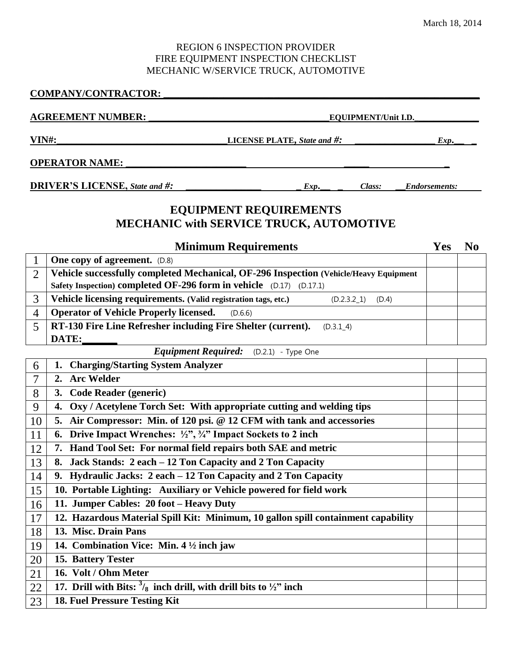#### REGION 6 INSPECTION PROVIDER FIRE EQUIPMENT INSPECTION CHECKLIST MECHANIC W/SERVICE TRUCK, AUTOMOTIVE

#### **COMPANY/CONTRACTOR: \_\_\_\_\_\_\_\_\_\_\_\_\_\_\_\_\_\_\_\_\_\_\_\_\_\_\_\_\_\_\_\_\_\_\_\_\_\_\_\_\_\_\_\_\_\_\_\_\_\_\_\_\_\_\_\_\_\_\_\_\_\_\_**

|                                                                                 | <b>AGREEMENT NUMBER:</b><br><b>EQUIPMENT/Unit I.D.</b>                                                         |            |                |
|---------------------------------------------------------------------------------|----------------------------------------------------------------------------------------------------------------|------------|----------------|
|                                                                                 | <b>VIN#:</b><br><b>LICENSE PLATE, State and #:</b>                                                             |            |                |
|                                                                                 | <b>OPERATOR NAME:</b>                                                                                          |            |                |
| <b>DRIVER'S LICENSE, State and #:</b><br>Class:<br>Exp.<br><b>Endorsements:</b> |                                                                                                                |            |                |
|                                                                                 | <b>EQUIPMENT REQUIREMENTS</b><br><b>MECHANIC with SERVICE TRUCK, AUTOMOTIVE</b><br><b>Minimum Requirements</b> | <b>Yes</b> | N <sub>0</sub> |
| 1                                                                               | <b>One copy of agreement.</b> (D.8)                                                                            |            |                |
| $\overline{2}$                                                                  | Vehicle successfully completed Mechanical, OF-296 Inspection (Vehicle/Heavy Equipment                          |            |                |
|                                                                                 | Safety Inspection) completed OF-296 form in vehicle (D.17) (D.17.1)                                            |            |                |
| 3                                                                               | Vehicle licensing requirements. (Valid registration tags, etc.)<br>$(D.2.3.2\_1)$<br>(D.4)                     |            |                |
| $\overline{4}$                                                                  | <b>Operator of Vehicle Properly licensed.</b><br>(D.6.6)                                                       |            |                |
| 5                                                                               | RT-130 Fire Line Refresher including Fire Shelter (current).<br>(D.3.1 4)                                      |            |                |
|                                                                                 | DATE:                                                                                                          |            |                |
|                                                                                 | Equipment Required: (D.2.1) - Type One                                                                         |            |                |
| 6                                                                               | 1. Charging/Starting System Analyzer                                                                           |            |                |
| 7                                                                               | 2. Arc Welder                                                                                                  |            |                |
| 8                                                                               | 3. Code Reader (generic)                                                                                       |            |                |
| 9                                                                               | 4. Oxy / Acetylene Torch Set: With appropriate cutting and welding tips                                        |            |                |
| 10                                                                              | 5. Air Compressor: Min. of 120 psi. @ 12 CFM with tank and accessories                                         |            |                |
| 11                                                                              | 6. Drive Impact Wrenches: $\frac{1}{2}$ , $\frac{2}{3}$ , $\frac{2}{3}$ Impact Sockets to 2 inch               |            |                |
| 12                                                                              | 7. Hand Tool Set: For normal field repairs both SAE and metric                                                 |            |                |
| 13                                                                              | Jack Stands: 2 each – 12 Ton Capacity and 2 Ton Capacity<br>8.                                                 |            |                |
| 14                                                                              | 9. Hydraulic Jacks: 2 each – 12 Ton Capacity and 2 Ton Capacity                                                |            |                |
| 15                                                                              | 10. Portable Lighting: Auxiliary or Vehicle powered for field work                                             |            |                |

|                                 | $\begin{array}{ c c c c c c } \hline 16 & 11. \end{array}$ Jumper Cables: 20 foot – Heavy Duty |
|---------------------------------|------------------------------------------------------------------------------------------------|
| the contract of the contract of |                                                                                                |

 **12. Hazardous Material Spill Kit: Minimum, 10 gallon spill containment capability 13. Misc. Drain Pans 14. Combination Vice: Min. 4 ½ inch jaw 15. Battery Tester 16. Volt / Ohm Meter**  $\overline{22}$  **17. Drill** with Bits:  $\frac{3}{8}$  inch drill, with drill bits to  $\frac{1}{2}$ " inch **18. Fuel Pressure Testing Kit**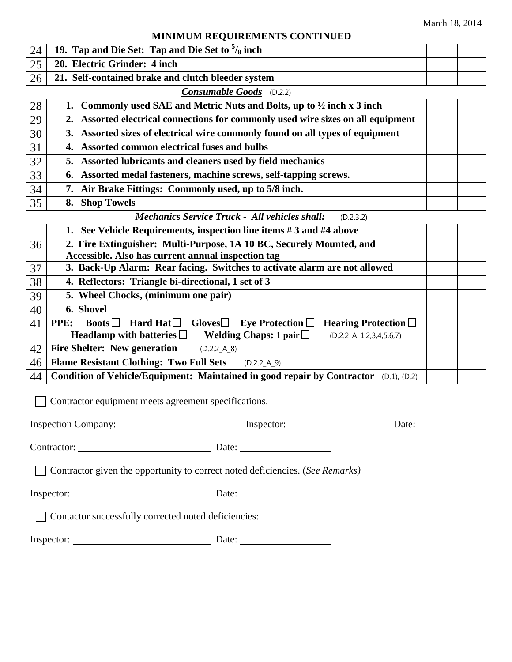## **MINIMUM REQUIREMENTS CONTINUED**

| 24 <sup>1</sup> | 19. Tap and Die Set: Tap and Die Set to $\frac{5}{8}$ inch |  |
|-----------------|------------------------------------------------------------|--|
| $\gamma$        | 20. Electric Grinder: 4 inch                               |  |
| 26 <sup>1</sup> | 21. Self-contained brake and clutch bleeder system         |  |

### *Consumable Goods* (D.2.2)

| 28 | 1. Commonly used SAE and Metric Nuts and Bolts, up to $\frac{1}{2}$ inch x 3 inch |  |
|----|-----------------------------------------------------------------------------------|--|
| 29 | 2. Assorted electrical connections for commonly used wire sizes on all equipment  |  |
| 30 | 3. Assorted sizes of electrical wire commonly found on all types of equipment     |  |
| 31 | 4. Assorted common electrical fuses and bulbs                                     |  |
| 32 | 5. Assorted lubricants and cleaners used by field mechanics                       |  |
| 33 | 6. Assorted medal fasteners, machine screws, self-tapping screws.                 |  |
| 34 | 7. Air Brake Fittings: Commonly used, up to 5/8 inch.                             |  |
| 35 | 8. Shop Towels                                                                    |  |

# *Mechanics Service Truck - All vehicles shall:* (D.2.3.2)

|    | 1. See Vehicle Requirements, inspection line items #3 and #4 above                                                        |  |  |
|----|---------------------------------------------------------------------------------------------------------------------------|--|--|
| 36 | 2. Fire Extinguisher: Multi-Purpose, 1A 10 BC, Securely Mounted, and                                                      |  |  |
|    | Accessible. Also has current annual inspection tag                                                                        |  |  |
| 37 | 3. Back-Up Alarm: Rear facing. Switches to activate alarm are not allowed                                                 |  |  |
| 38 | 4. Reflectors: Triangle bi-directional, 1 set of 3                                                                        |  |  |
| 39 | 5. Wheel Chocks, (minimum one pair)                                                                                       |  |  |
| 40 | 6. Shovel                                                                                                                 |  |  |
| 41 | Hard Hat $\Box$<br>Gloves $\Box$ Eye Protection $\Box$<br><b>Hearing Protection</b> $\Box$<br><b>PPE:</b><br><b>Boots</b> |  |  |
|    | Welding Chaps: 1 pair $\Box$<br>Headlamp with batteries $\Box$<br>$(D.2.2_A_1, 2, 3, 4, 5, 6, 7)$                         |  |  |
| 42 | <b>Fire Shelter: New generation</b><br>(D.2.2 A 8)                                                                        |  |  |
| 46 | <b>Flame Resistant Clothing: Two Full Sets</b><br>(D.2.2 A 9)                                                             |  |  |
| 44 | Condition of Vehicle/Equipment: Maintained in good repair by Contractor (D.1), (D.2)                                      |  |  |

Contractor equipment meets agreement specifications.

|                                                                               |  | Date: $\frac{1}{\sqrt{1-\frac{1}{2}} \cdot \frac{1}{\sqrt{1-\frac{1}{2}} \cdot \frac{1}{\sqrt{1-\frac{1}{2}} \cdot \frac{1}{\sqrt{1-\frac{1}{2}} \cdot \frac{1}{\sqrt{1-\frac{1}{2}} \cdot \frac{1}{\sqrt{1-\frac{1}{2}} \cdot \frac{1}{\sqrt{1-\frac{1}{2}} \cdot \frac{1}{\sqrt{1-\frac{1}{2}} \cdot \frac{1}{\sqrt{1-\frac{1}{2}} \cdot \frac{1}{\sqrt{1-\frac{1}{2}} \cdot \frac{1}{\sqrt{1-\frac{1}{2}} \cdot \frac{1}{\sqrt{1-\frac{1}{2}}$ |  |  |
|-------------------------------------------------------------------------------|--|---------------------------------------------------------------------------------------------------------------------------------------------------------------------------------------------------------------------------------------------------------------------------------------------------------------------------------------------------------------------------------------------------------------------------------------------------|--|--|
|                                                                               |  |                                                                                                                                                                                                                                                                                                                                                                                                                                                   |  |  |
| Contractor given the opportunity to correct noted deficiencies. (See Remarks) |  |                                                                                                                                                                                                                                                                                                                                                                                                                                                   |  |  |
| Inspector: Date: Date:                                                        |  |                                                                                                                                                                                                                                                                                                                                                                                                                                                   |  |  |
| Contactor successfully corrected noted deficiencies:                          |  |                                                                                                                                                                                                                                                                                                                                                                                                                                                   |  |  |
|                                                                               |  |                                                                                                                                                                                                                                                                                                                                                                                                                                                   |  |  |